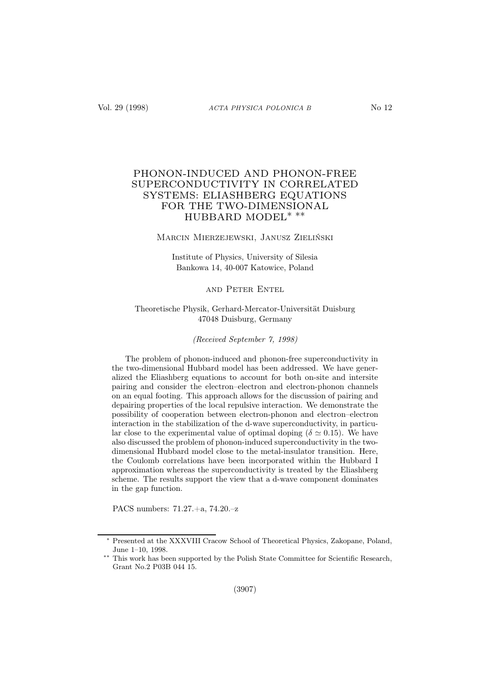# PHONON-INDUCED AND PHONON-FREE SUPERCONDUCTIVITY IN CORRELATED SYSTEMS: ELIASHBERG EQUATIONS FOR THE TWO-DIMENSIONAL HUBBARD MODEL∗ ∗∗

### Marcin Mierzejewski, Janusz Zieliński

Institute of Physics, University of Silesia Bankowa 14, 40-007 Katowice, Poland

### and Peter Entel

### Theoretische Physik, Gerhard-Mercator-Universität Duisburg 47048 Duisburg, Germany

(Received September 7, 1998)

The problem of phonon-induced and phonon-free superconductivity in the two-dimensional Hubbard model has been addressed. We have generalized the Eliashberg equations to account for both on-site and intersite pairing and consider the electron–electron and electron-phonon channels on an equal footing. This approach allows for the discussion of pairing and depairing properties of the local repulsive interaction. We demonstrate the possibility of cooperation between electron-phonon and electron–electron interaction in the stabilization of the d-wave superconductivity, in particular close to the experimental value of optimal doping ( $\delta \simeq 0.15$ ). We have also discussed the problem of phonon-induced superconductivity in the twodimensional Hubbard model close to the metal-insulator transition. Here, the Coulomb correlations have been incorporated within the Hubbard I approximation whereas the superconductivity is treated by the Eliashberg scheme. The results support the view that a d-wave component dominates in the gap function.

PACS numbers: 71.27.+a, 74.20.–z

Presented at the XXXVIII Cracow School of Theoretical Physics, Zakopane, Poland, June 1–10, 1998.

This work has been supported by the Polish State Committee for Scientific Research, Grant No.2 P03B 044 15.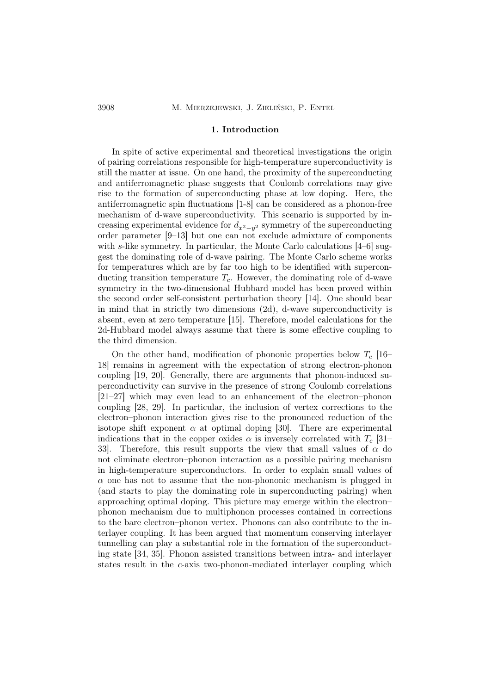### 1. Introduction

In spite of active experimental and theoretical investigations the origin of pairing correlations responsible for high-temperature superconductivity is still the matter at issue. On one hand, the proximity of the superconducting and antiferromagnetic phase suggests that Coulomb correlations may give rise to the formation of superconducting phase at low doping. Here, the antiferromagnetic spin fluctuations [1-8] can be considered as a phonon-free mechanism of d-wave superconductivity. This scenario is supported by increasing experimental evidence for  $d_{x^2-y^2}$  symmetry of the superconducting order parameter [9–13] but one can not exclude admixture of components with s-like symmetry. In particular, the Monte Carlo calculations  $[4-6]$  suggest the dominating role of d-wave pairing. The Monte Carlo scheme works for temperatures which are by far too high to be identified with superconducting transition temperature  $T_c$ . However, the dominating role of d-wave symmetry in the two-dimensional Hubbard model has been proved within the second order self-consistent perturbation theory [14]. One should bear in mind that in strictly two dimensions (2d), d-wave superconductivity is absent, even at zero temperature [15]. Therefore, model calculations for the 2d-Hubbard model always assume that there is some effective coupling to the third dimension.

On the other hand, modification of phononic properties below  $T_c$  [16– 18] remains in agreement with the expectation of strong electron-phonon coupling [19, 20]. Generally, there are arguments that phonon-induced superconductivity can survive in the presence of strong Coulomb correlations [21–27] which may even lead to an enhancement of the electron–phonon coupling [28, 29]. In particular, the inclusion of vertex corrections to the electron–phonon interaction gives rise to the pronounced reduction of the isotope shift exponent  $\alpha$  at optimal doping [30]. There are experimental indications that in the copper oxides  $\alpha$  is inversely correlated with  $T_c$  [31– 33. Therefore, this result supports the view that small values of  $\alpha$  do not eliminate electron–phonon interaction as a possible pairing mechanism in high-temperature superconductors. In order to explain small values of  $\alpha$  one has not to assume that the non-phononic mechanism is plugged in (and starts to play the dominating role in superconducting pairing) when approaching optimal doping. This picture may emerge within the electron– phonon mechanism due to multiphonon processes contained in corrections to the bare electron–phonon vertex. Phonons can also contribute to the interlayer coupling. It has been argued that momentum conserving interlayer tunnelling can play a substantial role in the formation of the superconducting state [34, 35]. Phonon assisted transitions between intra- and interlayer states result in the c-axis two-phonon-mediated interlayer coupling which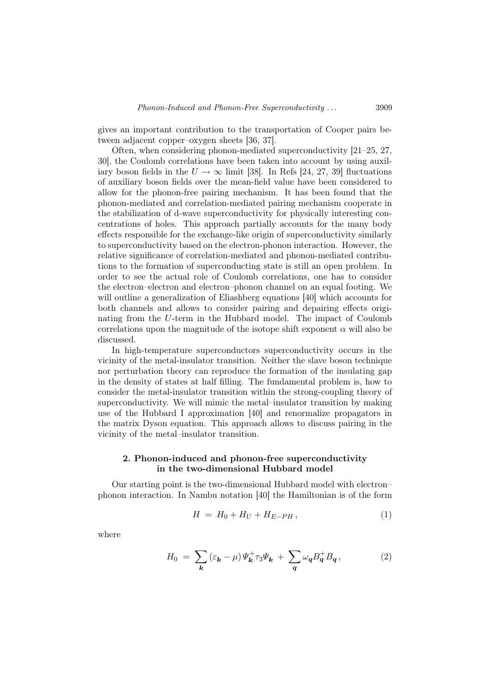gives an important contribution to the transportation of Cooper pairs between adjacent copper–oxygen sheets [36, 37].

Often, when considering phonon-mediated superconductivity [21–25, 27, 30], the Coulomb correlations have been taken into account by using auxiliary boson fields in the  $U \rightarrow \infty$  limit [38]. In Refs [24, 27, 39] fluctuations of auxiliary boson fields over the mean-field value have been considered to allow for the phonon-free pairing mechanism. It has been found that the phonon-mediated and correlation-mediated pairing mechanism cooperate in the stabilization of d-wave superconductivity for physically interesting concentrations of holes. This approach partially accounts for the many body effects responsible for the exchange-like origin of superconductivity similarly to superconductivity based on the electron-phonon interaction. However, the relative significance of correlation-mediated and phonon-mediated contributions to the formation of superconducting state is still an open problem. In order to see the actual role of Coulomb correlations, one has to consider the electron–electron and electron–phonon channel on an equal footing. We will outline a generalization of Eliashberg equations [40] which accounts for both channels and allows to consider pairing and depairing effects originating from the U-term in the Hubbard model. The impact of Coulomb correlations upon the magnitude of the isotope shift exponent  $\alpha$  will also be discussed.

In high-temperature superconductors superconductivity occurs in the vicinity of the metal-insulator transition. Neither the slave boson technique nor perturbation theory can reproduce the formation of the insulating gap in the density of states at half filling. The fundamental problem is, how to consider the metal-insulator transition within the strong-coupling theory of superconductivity. We will mimic the metal–insulator transition by making use of the Hubbard I approximation [40] and renormalize propagators in the matrix Dyson equation. This approach allows to discuss pairing in the vicinity of the metal–insulator transition.

## 2. Phonon-induced and phonon-free superconductivity in the two-dimensional Hubbard model

Our starting point is the two-dimensional Hubbard model with electron– phonon interaction. In Nambu notation [40] the Hamiltonian is of the form

$$
H = H_0 + H_U + H_{E-PH}, \t\t(1)
$$

where

$$
H_0 = \sum_{\mathbf{k}} \left( \varepsilon_{\mathbf{k}} - \mu \right) \Psi_{\mathbf{k}}^+ \tau_3 \Psi_{\mathbf{k}} + \sum_{\mathbf{q}} \omega_{\mathbf{q}} B_{\mathbf{q}}^+ B_{\mathbf{q}} \,, \tag{2}
$$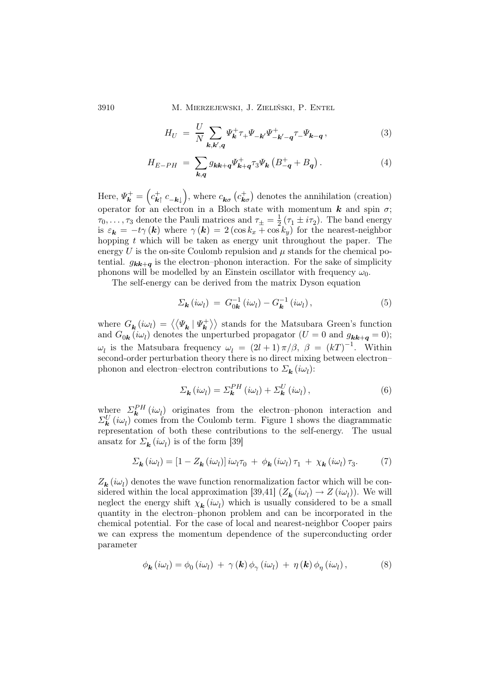3910 M. Mierzejewski, J. Zieliński, P. Entel

$$
H_U = \frac{U}{N} \sum_{\mathbf{k}, \mathbf{k}', \mathbf{q}} \Psi_{\mathbf{k}}^+ \tau_+ \Psi_{-\mathbf{k}'} \Psi_{-\mathbf{k}'-\mathbf{q}}^+ \tau_- \Psi_{\mathbf{k}-\mathbf{q}} ,\qquad (3)
$$

$$
H_{E-PH} = \sum_{k,q} g_{kk+q} \Psi_{k+q}^{+} \tau_3 \Psi_k \left( B - q + B_q \right). \tag{4}
$$

Here,  $\Psi_{\bm{k}}^+ = \left(c_{\bm{k}\uparrow}^+ c_{-\bm{k}\downarrow}\right)$ , where  $c_{\bm{k}\sigma}$   $\left(c_{\bm{k}\sigma}^+\right)$  denotes the annihilation (creation) operator for an electron in a Bloch state with momentum  $k$  and spin  $\sigma$ ;  $\tau_0, \ldots, \tau_3$  denote the Pauli matrices and  $\tau_{\pm} = \frac{1}{2} (\tau_1 \pm i\tau_2)$ . The band energy is  $\varepsilon_{\bf k} = -t\gamma({\bf k})$  where  $\gamma({\bf k}) = 2(\cos k_x + \cos k_y)$  for the nearest-neighbor hopping  $t$  which will be taken as energy unit throughout the paper. The energy  $U$  is the on-site Coulomb repulsion and  $\mu$  stands for the chemical potential.  $g_{kk+q}$  is the electron–phonon interaction. For the sake of simplicity phonons will be modelled by an Einstein oscillator with frequency  $\omega_0$ .

The self-energy can be derived from the matrix Dyson equation

$$
\Sigma_{\mathbf{k}}(i\omega_l) = G_{0\mathbf{k}}^{-1}(i\omega_l) - G_{\mathbf{k}}^{-1}(i\omega_l), \qquad (5)
$$

where  $G_{\mathbf{k}}(i\omega_l) = \langle \langle \Psi_{\mathbf{k}} | \Psi_{\mathbf{k}}^{+} \rangle \rangle$  stands for the Matsubara Green's function and  $G_{0k}(i\omega_l)$  denotes the unperturbed propagator  $(U = 0$  and  $g_{kk+q} = 0)$ ;  $ω_l$  is the Matsubara frequency  $ω_l = (2l + 1) π/β$ ,  $β = (kT)^{-1}$ . Within second-order perturbation theory there is no direct mixing between electron– phonon and electron–electron contributions to  $\mathcal{L}_{\mathbf{k}}(i\omega_l)$ :

$$
\Sigma_{\mathbf{k}}(i\omega_{l}) = \Sigma_{\mathbf{k}}^{PH}(i\omega_{l}) + \Sigma_{\mathbf{k}}^{U}(i\omega_{l}), \qquad (6)
$$

where  $\Sigma_{\mathbf{k}}^{PH}(i\omega_l)$  originates from the electron–phonon interaction and  $\Sigma_{\bf k}^U(i\omega_l)$  comes from the Coulomb term. Figure 1 shows the diagrammatic representation of both these contributions to the self-energy. The usual ansatz for  $\Sigma_{\mathbf{k}}(i\omega_{l})$  is of the form [39]

$$
\Sigma_{\mathbf{k}}(i\omega_l) = \left[1 - Z_{\mathbf{k}}(i\omega_l)\right]i\omega_l\tau_0 + \phi_{\mathbf{k}}(i\omega_l)\tau_1 + \chi_{\mathbf{k}}(i\omega_l)\tau_3. \tag{7}
$$

 $Z_{\mathbf{k}}(i\omega_l)$  denotes the wave function renormalization factor which will be considered within the local approximation [39,41]  $(Z_{\mathbf{k}}(i\omega_l) \rightarrow Z(i\omega_l))$ . We will neglect the energy shift  $\chi_{\mathbf{k}}(i\omega_l)$  which is usually considered to be a small quantity in the electron–phonon problem and can be incorporated in the chemical potential. For the case of local and nearest-neighbor Cooper pairs we can express the momentum dependence of the superconducting order parameter

$$
\phi_{\mathbf{k}}(i\omega_l) = \phi_0(i\omega_l) + \gamma(\mathbf{k})\phi_\gamma(i\omega_l) + \eta(\mathbf{k})\phi_\eta(i\omega_l),
$$
\n(8)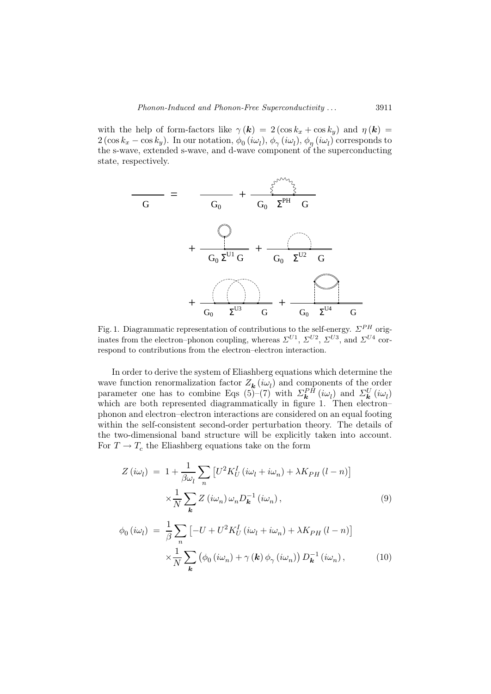with the help of form-factors like  $\gamma(\mathbf{k}) = 2(\cos k_x + \cos k_y)$  and  $\eta(\mathbf{k}) =$  $2(\cos k_x - \cos k_y)$ . In our notation,  $\phi_0(i\omega_l), \phi_\gamma(i\omega_l), \phi_\eta(i\omega_l)$  corresponds to the s-wave, extended s-wave, and d-wave component of the superconducting state, respectively.



Fig. 1. Diagrammatic representation of contributions to the self-energy.  $\Sigma^{PH}$  originates from the electron-phonon coupling, whereas  $\Sigma^{U1}$ ,  $\Sigma^{U2}$ ,  $\Sigma^{U3}$ , and  $\Sigma^{U4}$  correspond to contributions from the electron–electron interaction.

In order to derive the system of Eliashberg equations which determine the wave function renormalization factor  $Z_{\mathbf{k}}(i\omega_l)$  and components of the order parameter one has to combine Eqs (5)–(7) with  $\Sigma_{\mathbf{k}}^{PH}(i\omega_l)$  and  $\Sigma_{\mathbf{k}}^{U}(i\omega_l)$ which are both represented diagrammatically in figure 1. Then electron– phonon and electron–electron interactions are considered on an equal footing within the self-consistent second-order perturbation theory. The details of the two-dimensional band structure will be explicitly taken into account. For  $T \to T_c$  the Eliashberg equations take on the form

$$
Z(i\omega_l) = 1 + \frac{1}{\beta \omega_l} \sum_n \left[ U^2 K_U^I(i\omega_l + i\omega_n) + \lambda K_{PH} (l - n) \right]
$$

$$
\times \frac{1}{N} \sum_{\mathbf{k}} Z(i\omega_n) \omega_n D_{\mathbf{k}}^{-1} (i\omega_n), \tag{9}
$$

$$
\phi_0(i\omega_l) = \frac{1}{\beta} \sum_n \left[ -U + U^2 K_U^I(i\omega_l + i\omega_n) + \lambda K_{PH} (l - n) \right]
$$

$$
\times \frac{1}{N} \sum_{\mathbf{k}} \left( \phi_0(i\omega_n) + \gamma(\mathbf{k}) \phi_\gamma(i\omega_n) \right) D_{\mathbf{k}}^{-1}(i\omega_n), \tag{10}
$$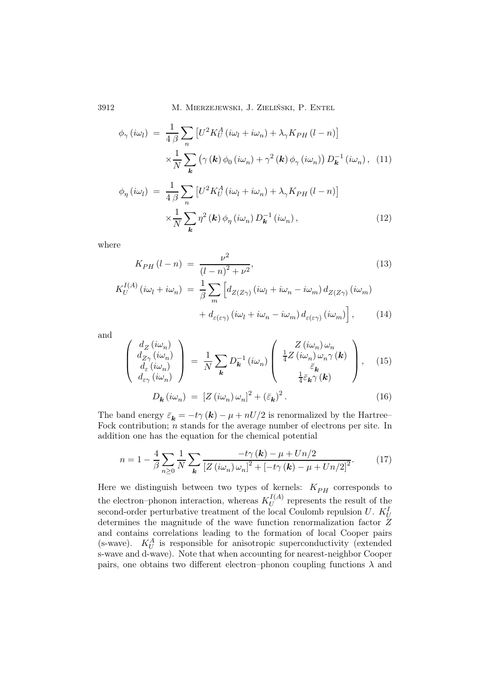3912 M. Mierzejewski, J. Zieliński, P. Entel

$$
\phi_{\gamma}(i\omega_{l}) = \frac{1}{4\beta} \sum_{n} \left[ U^{2} K_{U}^{A}(i\omega_{l} + i\omega_{n}) + \lambda_{\gamma} K_{PH}(l - n) \right]
$$

$$
\times \frac{1}{N} \sum_{k} \left( \gamma(k) \phi_{0}(i\omega_{n}) + \gamma^{2}(k) \phi_{\gamma}(i\omega_{n}) \right) D_{k}^{-1}(i\omega_{n}), \quad (11)
$$

$$
\phi_{\eta}(i\omega_{l}) = \frac{1}{4\beta} \sum_{n} \left[ U^{2} K_{U}^{A}(i\omega_{l} + i\omega_{n}) + \lambda_{\gamma} K_{PH}(l - n) \right]
$$

$$
\times \frac{1}{N} \sum_{k} \eta^{2}(\mathbf{k}) \phi_{\eta}(i\omega_{n}) D_{k}^{-1}(i\omega_{n}), \qquad (12)
$$

where

$$
K_{PH}(l-n) = \frac{\nu^2}{(l-n)^2 + \nu^2},\tag{13}
$$
\n
$$
\mu^{(A)}(i\omega_l + i\omega_n) = \frac{1}{2} \sum \left[ d_{Z(Z_1)}(i\omega_l + i\omega_n - i\omega_m) d_{Z(Z_1)}(i\omega_m) \right]
$$

$$
K_U^{I(A)}(i\omega_l + i\omega_n) = \frac{1}{\beta} \sum_m \left[ d_{Z(Z\gamma)}(i\omega_l + i\omega_n - i\omega_m) d_{Z(Z\gamma)}(i\omega_m) + d_{\varepsilon(\varepsilon\gamma)}(i\omega_l + i\omega_n - i\omega_m) d_{\varepsilon(\varepsilon\gamma)}(i\omega_m) \right],
$$
(14)

and

$$
\begin{pmatrix}\nd_{Z}(\iota\omega_{n}) \\
d_{Z\gamma}(\iota\omega_{n}) \\
d_{\varepsilon}(\iota\omega_{n}) \\
d_{\varepsilon\gamma}(\iota\omega_{n})\n\end{pmatrix} = \frac{1}{N} \sum_{\mathbf{k}} D_{\mathbf{k}}^{-1} (\iota\omega_{n}) \begin{pmatrix}\nZ(\iota\omega_{n})\omega_{n} \\
\frac{1}{4}Z(\iota\omega_{n})\omega_{n}\gamma(\mathbf{k}) \\
\frac{1}{4}\bar{\varepsilon}_{\mathbf{k}}\gamma(\mathbf{k})\n\end{pmatrix},
$$
\n(15)\n
$$
D_{\mathbf{k}}(\iota\omega_{n}) = [Z(\iota\omega_{n})\omega_{n}]^{2} + (\bar{\varepsilon}_{\mathbf{k}})^{2}.
$$
\n(16)

The band energy  $\bar{\varepsilon}_k = -t\gamma(k) - \mu + nU/2$  is renormalized by the Hartree– Fock contribution; n stands for the average number of electrons per site. In addition one has the equation for the chemical potential

$$
n = 1 - \frac{4}{\beta} \sum_{n \ge 0} \frac{1}{N} \sum_{\mathbf{k}} \frac{-t\gamma(\mathbf{k}) - \mu + Un/2}{\left[Z(i\omega_n)\,\omega_n\right]^2 + \left[-t\gamma(\mathbf{k}) - \mu + Un/2\right]^2}.
$$
 (17)

Here we distinguish between two types of kernels:  $K_{PH}$  corresponds to the electron–phonon interaction, whereas  $K_I^{I(A)}$  $\mathcal{U}^{I(A)}$  represents the result of the second-order perturbative treatment of the local Coulomb repulsion  $U$ .  $K_U^I$ determines the magnitude of the wave function renormalization factor Z and contains correlations leading to the formation of local Cooper pairs (s-wave).  $K_U^A$  is responsible for anisotropic superconductivity (extended s-wave and d-wave). Note that when accounting for nearest-neighbor Cooper pairs, one obtains two different electron–phonon coupling functions  $\lambda$  and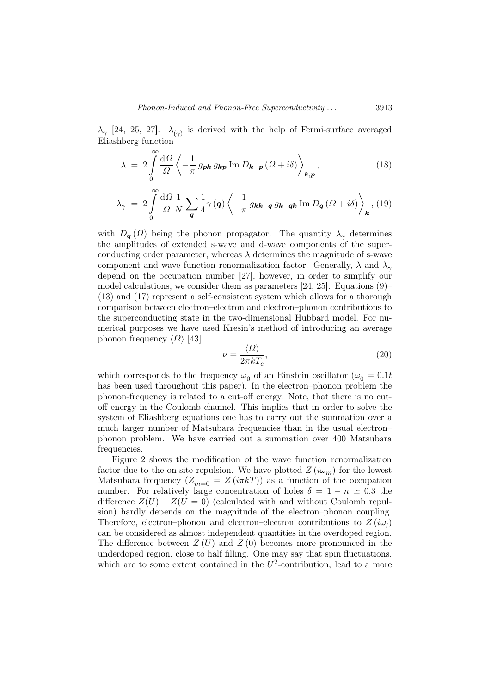$\lambda_{\gamma}$  [24, 25, 27].  $\lambda_{(\gamma)}$  is derived with the help of Fermi-surface averaged Eliashberg function

$$
\lambda = 2 \int_{0}^{\infty} \frac{d\Omega}{\Omega} \left\langle -\frac{1}{\pi} g_{\mathbf{p} \mathbf{k}} g_{\mathbf{k} \mathbf{p}} \operatorname{Im} D_{\mathbf{k} - \mathbf{p}} (\Omega + i\delta) \right\rangle_{\mathbf{k}, \mathbf{p}}, \tag{18}
$$

$$
\lambda_{\gamma} = 2 \int_{0}^{\infty} \frac{\mathrm{d}\Omega}{\Omega} \frac{1}{N} \sum_{\mathbf{q}} \frac{1}{4} \gamma(\mathbf{q}) \left\langle -\frac{1}{\pi} g_{\mathbf{k}\mathbf{k} - \mathbf{q}} g_{\mathbf{k} - \mathbf{q}\mathbf{k}} \operatorname{Im} D_{\mathbf{q}} (\Omega + i\delta) \right\rangle_{\mathbf{k}}, (19)
$$

with  $D_{q}(\Omega)$  being the phonon propagator. The quantity  $\lambda_{\gamma}$  determines the amplitudes of extended s-wave and d-wave components of the superconducting order parameter, whereas  $\lambda$  determines the magnitude of s-wave component and wave function renormalization factor. Generally,  $\lambda$  and  $\lambda_{\gamma}$ depend on the occupation number [27], however, in order to simplify our model calculations, we consider them as parameters  $[24, 25]$ . Equations  $(9)$ – (13) and (17) represent a self-consistent system which allows for a thorough comparison between electron–electron and electron–phonon contributions to the superconducting state in the two-dimensional Hubbard model. For numerical purposes we have used Kresin's method of introducing an average phonon frequency  $\langle \Omega \rangle$  [43]

$$
\nu = \frac{\langle \Omega \rangle}{2\pi kT_c},\tag{20}
$$

which corresponds to the frequency  $\omega_0$  of an Einstein oscillator  $(\omega_0 = 0.1t)$ has been used throughout this paper). In the electron–phonon problem the phonon-frequency is related to a cut-off energy. Note, that there is no cutoff energy in the Coulomb channel. This implies that in order to solve the system of Eliashberg equations one has to carry out the summation over a much larger number of Matsubara frequencies than in the usual electron– phonon problem. We have carried out a summation over 400 Matsubara frequencies.

Figure 2 shows the modification of the wave function renormalization factor due to the on-site repulsion. We have plotted  $Z(i\omega_m)$  for the lowest Matsubara frequency  $(Z_{m=0} = Z(i\pi kT))$  as a function of the occupation number. For relatively large concentration of holes  $\delta = 1 - n \simeq 0.3$  the difference  $Z(U) - Z(U = 0)$  (calculated with and without Coulomb repulsion) hardly depends on the magnitude of the electron–phonon coupling. Therefore, electron–phonon and electron–electron contributions to  $Z(i\omega_l)$ can be considered as almost independent quantities in the overdoped region. The difference between  $Z(U)$  and  $Z(0)$  becomes more pronounced in the underdoped region, close to half filling. One may say that spin fluctuations, which are to some extent contained in the  $U^2$ -contribution, lead to a more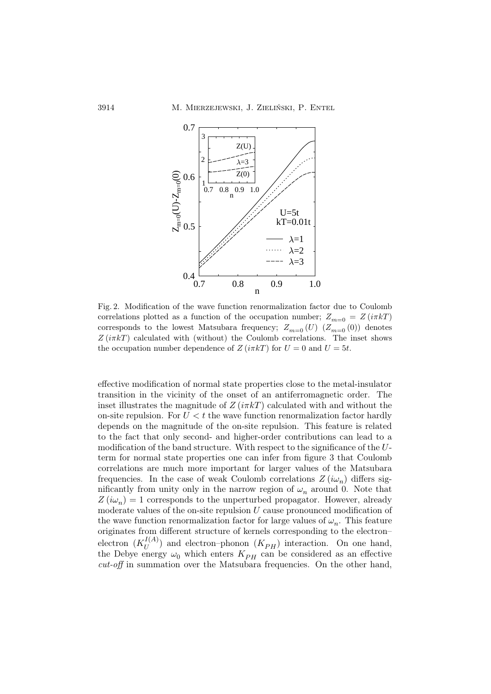

Fig. 2. Modification of the wave function renormalization factor due to Coulomb correlations plotted as a function of the occupation number;  $Z_{m=0} = Z(i\pi kT)$ corresponds to the lowest Matsubara frequency;  $Z_{m=0} (U) (Z_{m=0} (0))$  denotes  $Z(i\pi kT)$  calculated with (without) the Coulomb correlations. The inset shows the occupation number dependence of  $Z(i\pi kT)$  for  $U=0$  and  $U=5t$ .

effective modification of normal state properties close to the metal-insulator transition in the vicinity of the onset of an antiferromagnetic order. The inset illustrates the magnitude of  $Z(i\pi kT)$  calculated with and without the on-site repulsion. For  $U < t$  the wave function renormalization factor hardly depends on the magnitude of the on-site repulsion. This feature is related to the fact that only second- and higher-order contributions can lead to a modification of the band structure. With respect to the significance of the Uterm for normal state properties one can infer from figure 3 that Coulomb correlations are much more important for larger values of the Matsubara frequencies. In the case of weak Coulomb correlations  $Z(i\omega_n)$  differs significantly from unity only in the narrow region of  $\omega_n$  around 0. Note that  $Z(i\omega_n) = 1$  corresponds to the unperturbed propagator. However, already moderate values of the on-site repulsion U cause pronounced modification of the wave function renormalization factor for large values of  $\omega_n$ . This feature originates from different structure of kernels corresponding to the electron– electron  $(K_U^{I(A)})$  $\binom{U(A)}{U}$  and electron-phonon  $(K_{PH})$  interaction. On one hand, the Debye energy  $\omega_0$  which enters  $K_{PH}$  can be considered as an effective cut-off in summation over the Matsubara frequencies. On the other hand,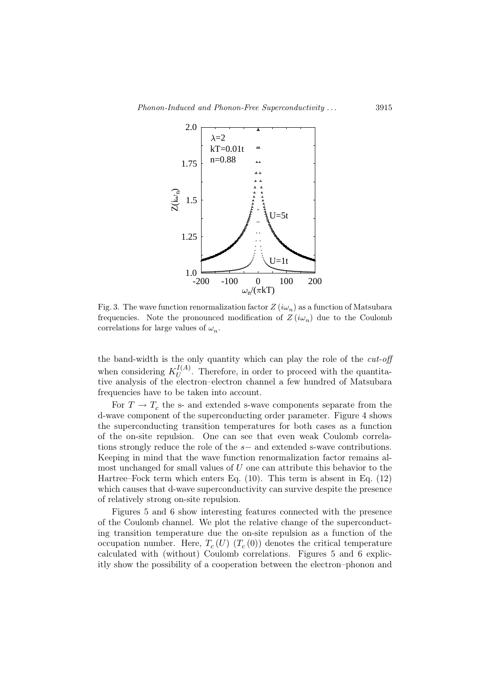

Fig. 3. The wave function renormalization factor  $Z(i\omega_n)$  as a function of Matsubara frequencies. Note the pronounced modification of  $Z(i\omega_n)$  due to the Coulomb correlations for large values of  $\omega_n$ .

the band-width is the only quantity which can play the role of the  $cut-off$ when considering  $K_U^{I(A)}$  $U_{\text{U}}^{(A)}$ . Therefore, in order to proceed with the quantitative analysis of the electron–electron channel a few hundred of Matsubara frequencies have to be taken into account.

For  $T \to T_c$  the s- and extended s-wave components separate from the d-wave component of the superconducting order parameter. Figure 4 shows the superconducting transition temperatures for both cases as a function of the on-site repulsion. One can see that even weak Coulomb correlations strongly reduce the role of the s− and extended s-wave contributions. Keeping in mind that the wave function renormalization factor remains almost unchanged for small values of  $U$  one can attribute this behavior to the Hartree–Fock term which enters Eq. (10). This term is absent in Eq. (12) which causes that d-wave superconductivity can survive despite the presence of relatively strong on-site repulsion.

Figures 5 and 6 show interesting features connected with the presence of the Coulomb channel. We plot the relative change of the superconducting transition temperature due the on-site repulsion as a function of the occupation number. Here,  $T_c(U)$   $(T_c(0))$  denotes the critical temperature calculated with (without) Coulomb correlations. Figures 5 and 6 explicitly show the possibility of a cooperation between the electron–phonon and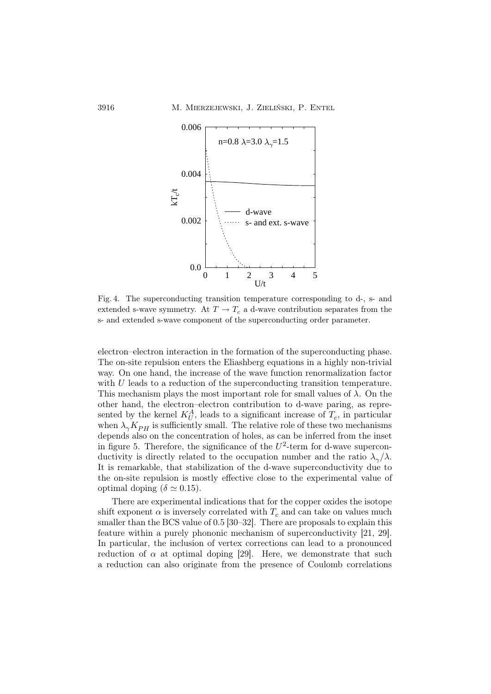

Fig. 4. The superconducting transition temperature corresponding to d-, s- and extended s-wave symmetry. At  $T \to T_c$  a d-wave contribution separates from the s- and extended s-wave component of the superconducting order parameter.

electron–electron interaction in the formation of the superconducting phase. The on-site repulsion enters the Eliashberg equations in a highly non-trivial way. On one hand, the increase of the wave function renormalization factor with U leads to a reduction of the superconducting transition temperature. This mechanism plays the most important role for small values of  $\lambda$ . On the other hand, the electron–electron contribution to d-wave paring, as represented by the kernel  $K_U^A$ , leads to a significant increase of  $T_c$ , in particular when  $\lambda_{\gamma} K_{PH}$  is sufficiently small. The relative role of these two mechanisms depends also on the concentration of holes, as can be inferred from the inset in figure 5. Therefore, the significance of the  $U^2$ -term for d-wave superconductivity is directly related to the occupation number and the ratio  $\lambda_{\gamma}/\lambda$ . It is remarkable, that stabilization of the d-wave superconductivity due to the on-site repulsion is mostly effective close to the experimental value of optimal doping ( $\delta \simeq 0.15$ ).

There are experimental indications that for the copper oxides the isotope shift exponent  $\alpha$  is inversely correlated with  $T_c$  and can take on values much smaller than the BCS value of 0.5 [30–32]. There are proposals to explain this feature within a purely phononic mechanism of superconductivity [21, 29]. In particular, the inclusion of vertex corrections can lead to a pronounced reduction of  $\alpha$  at optimal doping [29]. Here, we demonstrate that such a reduction can also originate from the presence of Coulomb correlations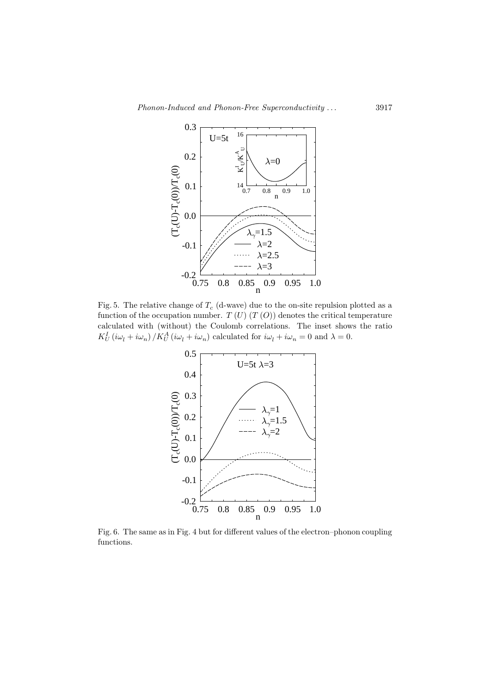

Fig. 5. The relative change of  $T_c$  (d-wave) due to the on-site repulsion plotted as a function of the occupation number.  $T(U)$   $(T(O))$  denotes the critical temperature calculated with (without) the Coulomb correlations. The inset shows the ratio  $K_U^I(i\omega_l + i\omega_n) / K_U^A(i\omega_l + i\omega_n)$  calculated for  $i\omega_l + i\omega_n = 0$  and  $\lambda = 0$ .



Fig. 6. The same as in Fig. 4 but for different values of the electron–phonon coupling functions.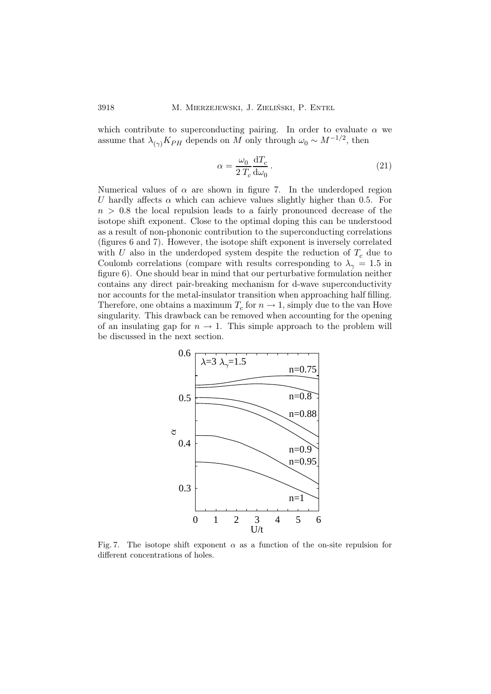which contribute to superconducting pairing. In order to evaluate  $\alpha$  we assume that  $\lambda_{(\gamma)} K_{PH}$  depends on M only through  $\omega_0 \sim M^{-1/2}$ , then

$$
\alpha = \frac{\omega_0}{2 T_c} \frac{\mathrm{d}T_c}{\mathrm{d}\omega_0} \,. \tag{21}
$$

Numerical values of  $\alpha$  are shown in figure 7. In the underdoped region U hardly affects  $\alpha$  which can achieve values slightly higher than 0.5. For  $n > 0.8$  the local repulsion leads to a fairly pronounced decrease of the isotope shift exponent. Close to the optimal doping this can be understood as a result of non-phononic contribution to the superconducting correlations (figures 6 and 7). However, the isotope shift exponent is inversely correlated with U also in the underdoped system despite the reduction of  $T_c$  due to Coulomb correlations (compare with results corresponding to  $\lambda_{\gamma} = 1.5$  in figure 6). One should bear in mind that our perturbative formulation neither contains any direct pair-breaking mechanism for d-wave superconductivity nor accounts for the metal-insulator transition when approaching half filling. Therefore, one obtains a maximum  $T_c$  for  $n \to 1$ , simply due to the van Hove singularity. This drawback can be removed when accounting for the opening of an insulating gap for  $n \to 1$ . This simple approach to the problem will be discussed in the next section.



Fig. 7. The isotope shift exponent  $\alpha$  as a function of the on-site repulsion for different concentrations of holes.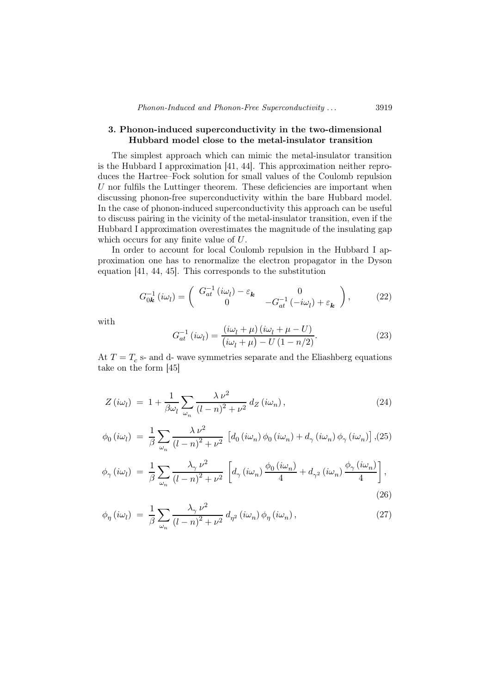## 3. Phonon-induced superconductivity in the two-dimensional Hubbard model close to the metal-insulator transition

The simplest approach which can mimic the metal-insulator transition is the Hubbard I approximation [41, 44]. This approximation neither reproduces the Hartree–Fock solution for small values of the Coulomb repulsion  $U$  nor fulfils the Luttinger theorem. These deficiencies are important when discussing phonon-free superconductivity within the bare Hubbard model. In the case of phonon-induced superconductivity this approach can be useful to discuss pairing in the vicinity of the metal-insulator transition, even if the Hubbard I approximation overestimates the magnitude of the insulating gap which occurs for any finite value of U.

In order to account for local Coulomb repulsion in the Hubbard I approximation one has to renormalize the electron propagator in the Dyson equation [41, 44, 45]. This corresponds to the substitution

$$
G_{0\mathbf{k}}^{-1}(i\omega_l) = \begin{pmatrix} G_{at}^{-1}(i\omega_l) - \varepsilon_{\mathbf{k}} & 0\\ 0 & -G_{at}^{-1}(-i\omega_l) + \varepsilon_{\mathbf{k}} \end{pmatrix},
$$
(22)

with

$$
G_{at}^{-1} \left(i\omega_l\right) = \frac{\left(i\omega_l + \mu\right)\left(i\omega_l + \mu - U\right)}{\left(i\omega_l + \mu\right) - U\left(1 - n/2\right)}.\tag{23}
$$

At  $T = T_c$  s- and d- wave symmetries separate and the Eliashberg equations take on the form [45]

$$
Z(i\omega_l) = 1 + \frac{1}{\beta \omega_l} \sum_{\omega_n} \frac{\lambda \nu^2}{(l-n)^2 + \nu^2} d_Z(i\omega_n), \qquad (24)
$$

$$
\phi_0(i\omega_l) = \frac{1}{\beta} \sum_{\omega_n} \frac{\lambda \nu^2}{(l-n)^2 + \nu^2} \left[ d_0(i\omega_n) \phi_0(i\omega_n) + d_\gamma(i\omega_n) \phi_\gamma(i\omega_n) \right], (25)
$$

$$
\phi_{\gamma}(i\omega_l) = \frac{1}{\beta} \sum_{\omega_n} \frac{\lambda_{\gamma} \nu^2}{(l-n)^2 + \nu^2} \left[ d_{\gamma}(i\omega_n) \frac{\phi_0(i\omega_n)}{4} + d_{\gamma^2}(i\omega_n) \frac{\phi_{\gamma}(i\omega_n)}{4} \right],
$$
\n(26)

$$
\phi_{\eta}(i\omega_l) = \frac{1}{\beta} \sum_{\omega_n} \frac{\lambda_{\gamma} \nu^2}{(l-n)^2 + \nu^2} d_{\eta^2}(i\omega_n) \phi_{\eta}(i\omega_n), \qquad (27)
$$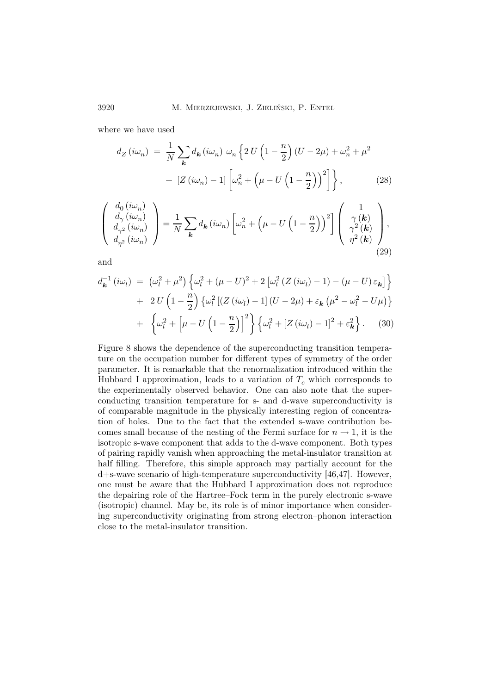where we have used

$$
d_Z(i\omega_n) = \frac{1}{N} \sum_{\mathbf{k}} d_{\mathbf{k}}(i\omega_n) \omega_n \left\{ 2 U \left( 1 - \frac{n}{2} \right) (U - 2\mu) + \omega_n^2 + \mu^2 + \left[ Z(i\omega_n) - 1 \right] \left[ \omega_n^2 + \left( \mu - U \left( 1 - \frac{n}{2} \right) \right)^2 \right] \right\}, \tag{28}
$$

$$
\begin{pmatrix}\nd_{0} (i\omega_{n}) \\
d_{\gamma} (i\omega_{n}) \\
d_{\gamma^{2}} (i\omega_{n}) \\
d_{\eta^{2}} (i\omega_{n})\n\end{pmatrix} = \frac{1}{N} \sum_{\mathbf{k}} d_{\mathbf{k}} (i\omega_{n}) \left[\omega_{n}^{2} + \left(\mu - U\left(1 - \frac{n}{2}\right)\right)^{2}\right] \begin{pmatrix}\n1 \\
\gamma(\mathbf{k}) \\
\gamma^{2}(\mathbf{k}) \\
\eta^{2}(\mathbf{k})\n\end{pmatrix},
$$
\n(29)

and

$$
d_{\mathbf{k}}^{-1}(i\omega_l) = (\omega_l^2 + \mu^2) \left\{ \omega_l^2 + (\mu - U)^2 + 2 \left[ \omega_l^2 \left( Z(i\omega_l) - 1 \right) - (\mu - U) \varepsilon_{\mathbf{k}} \right] \right\}
$$
  
+ 
$$
2 U \left( 1 - \frac{n}{2} \right) \left\{ \omega_l^2 \left[ \left( Z(i\omega_l) - 1 \right] \left( U - 2\mu \right) + \varepsilon_{\mathbf{k}} \left( \mu^2 - \omega_l^2 - U\mu \right) \right\}
$$
  
+ 
$$
\left\{ \omega_l^2 + \left[ \mu - U \left( 1 - \frac{n}{2} \right) \right]^2 \right\} \left\{ \omega_l^2 + \left[ Z(i\omega_l) - 1 \right]^2 + \varepsilon_{\mathbf{k}}^2 \right\}. \tag{30}
$$

Figure 8 shows the dependence of the superconducting transition temperature on the occupation number for different types of symmetry of the order parameter. It is remarkable that the renormalization introduced within the Hubbard I approximation, leads to a variation of  $T_c$  which corresponds to the experimentally observed behavior. One can also note that the superconducting transition temperature for s- and d-wave superconductivity is of comparable magnitude in the physically interesting region of concentration of holes. Due to the fact that the extended s-wave contribution becomes small because of the nesting of the Fermi surface for  $n \to 1$ , it is the isotropic s-wave component that adds to the d-wave component. Both types of pairing rapidly vanish when approaching the metal-insulator transition at half filling. Therefore, this simple approach may partially account for the d+s-wave scenario of high-temperature superconductivity [46,47]. However, one must be aware that the Hubbard I approximation does not reproduce the depairing role of the Hartree–Fock term in the purely electronic s-wave (isotropic) channel. May be, its role is of minor importance when considering superconductivity originating from strong electron–phonon interaction close to the metal-insulator transition.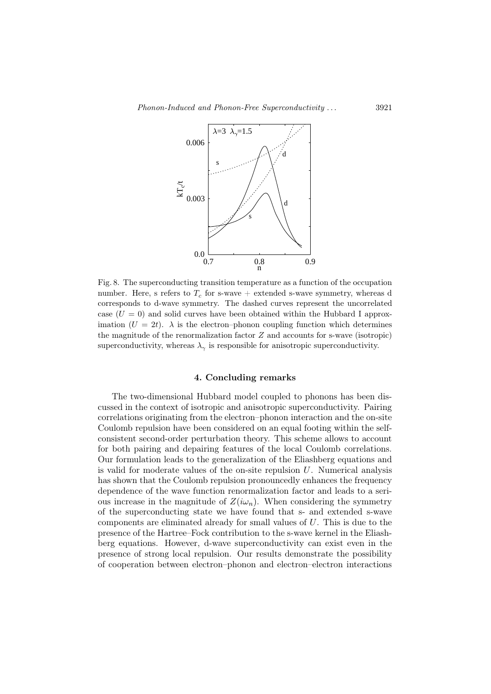

Fig. 8. The superconducting transition temperature as a function of the occupation number. Here, s refers to  $T_c$  for s-wave + extended s-wave symmetry, whereas d corresponds to d-wave symmetry. The dashed curves represent the uncorrelated case  $(U = 0)$  and solid curves have been obtained within the Hubbard I approximation  $(U = 2t)$ .  $\lambda$  is the electron-phonon coupling function which determines the magnitude of the renormalization factor  $Z$  and accounts for s-wave (isotropic) superconductivity, whereas  $\lambda_{\gamma}$  is responsible for anisotropic superconductivity.

## 4. Concluding remarks

The two-dimensional Hubbard model coupled to phonons has been discussed in the context of isotropic and anisotropic superconductivity. Pairing correlations originating from the electron–phonon interaction and the on-site Coulomb repulsion have been considered on an equal footing within the selfconsistent second-order perturbation theory. This scheme allows to account for both pairing and depairing features of the local Coulomb correlations. Our formulation leads to the generalization of the Eliashberg equations and is valid for moderate values of the on-site repulsion  $U$ . Numerical analysis has shown that the Coulomb repulsion pronouncedly enhances the frequency dependence of the wave function renormalization factor and leads to a serious increase in the magnitude of  $Z(i\omega_n)$ . When considering the symmetry of the superconducting state we have found that s- and extended s-wave components are eliminated already for small values of U. This is due to the presence of the Hartree–Fock contribution to the s-wave kernel in the Eliashberg equations. However, d-wave superconductivity can exist even in the presence of strong local repulsion. Our results demonstrate the possibility of cooperation between electron–phonon and electron–electron interactions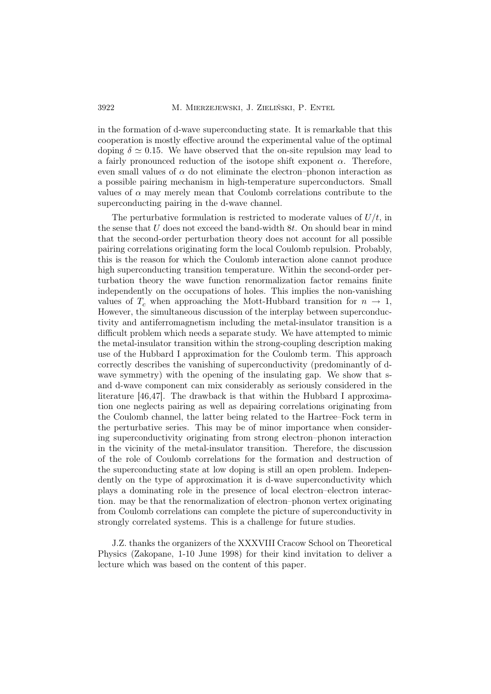## 3922 M. Mierzejewski, J. Zieliński, P. Entel

in the formation of d-wave superconducting state. It is remarkable that this cooperation is mostly effective around the experimental value of the optimal doping  $\delta \simeq 0.15$ . We have observed that the on-site repulsion may lead to a fairly pronounced reduction of the isotope shift exponent  $\alpha$ . Therefore, even small values of  $\alpha$  do not eliminate the electron–phonon interaction as a possible pairing mechanism in high-temperature superconductors. Small values of  $\alpha$  may merely mean that Coulomb correlations contribute to the superconducting pairing in the d-wave channel.

The perturbative formulation is restricted to moderate values of  $U/t$ , in the sense that  $U$  does not exceed the band-width  $8t$ . On should bear in mind that the second-order perturbation theory does not account for all possible pairing correlations originating form the local Coulomb repulsion. Probably, this is the reason for which the Coulomb interaction alone cannot produce high superconducting transition temperature. Within the second-order perturbation theory the wave function renormalization factor remains finite independently on the occupations of holes. This implies the non-vanishing values of  $T_c$  when approaching the Mott-Hubbard transition for  $n \to 1$ , However, the simultaneous discussion of the interplay between superconductivity and antiferromagnetism including the metal-insulator transition is a difficult problem which needs a separate study. We have attempted to mimic the metal-insulator transition within the strong-coupling description making use of the Hubbard I approximation for the Coulomb term. This approach correctly describes the vanishing of superconductivity (predominantly of dwave symmetry) with the opening of the insulating gap. We show that sand d-wave component can mix considerably as seriously considered in the literature [46,47]. The drawback is that within the Hubbard I approximation one neglects pairing as well as depairing correlations originating from the Coulomb channel, the latter being related to the Hartree–Fock term in the perturbative series. This may be of minor importance when considering superconductivity originating from strong electron–phonon interaction in the vicinity of the metal-insulator transition. Therefore, the discussion of the role of Coulomb correlations for the formation and destruction of the superconducting state at low doping is still an open problem. Independently on the type of approximation it is d-wave superconductivity which plays a dominating role in the presence of local electron–electron interaction. may be that the renormalization of electron–phonon vertex originating from Coulomb correlations can complete the picture of superconductivity in strongly correlated systems. This is a challenge for future studies.

J.Z. thanks the organizers of the XXXVIII Cracow School on Theoretical Physics (Zakopane, 1-10 June 1998) for their kind invitation to deliver a lecture which was based on the content of this paper.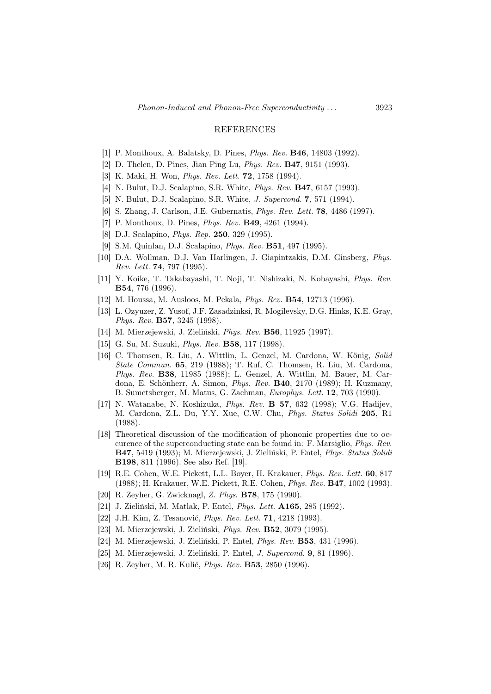#### REFERENCES

- [1] P. Monthoux, A. Balatsky, D. Pines, Phys. Rev. B46, 14803 (1992).
- [2] D. Thelen, D. Pines, Jian Ping Lu, Phys. Rev. B47, 9151 (1993).
- [3] K. Maki, H. Won, *Phys. Rev. Lett.* **72**, 1758 (1994).
- [4] N. Bulut, D.J. Scalapino, S.R. White, *Phys. Rev.* **B47**, 6157 (1993).
- [5] N. Bulut, D.J. Scalapino, S.R. White, *J. Supercond.* **7**, 571 (1994).
- [6] S. Zhang, J. Carlson, J.E. Gubernatis, Phys. Rev. Lett. 78, 4486 (1997).
- [7] P. Monthoux, D. Pines, *Phys. Rev.* **B49**, 4261 (1994).
- [8] D.J. Scalapino, Phys. Rep. 250, 329 (1995).
- [9] S.M. Quinlan, D.J. Scalapino, Phys. Rev. B51, 497 (1995).
- [10] D.A. Wollman, D.J. Van Harlingen, J. Giapintzakis, D.M. Ginsberg, Phys. Rev. Lett. 74, 797 (1995).
- [11] Y. Koike, T. Takabayashi, T. Noji, T. Nishizaki, N. Kobayashi, Phys. Rev. B54, 776 (1996).
- [12] M. Houssa, M. Ausloos, M. Pekala, Phys. Rev. B54, 12713 (1996).
- [13] L. Ozyuzer, Z. Yusof, J.F. Zasadzinksi, R. Mogilevsky, D.G. Hinks, K.E. Gray, Phys. Rev. B57, 3245 (1998).
- [14] M. Mierzejewski, J. Zieliński, Phys. Rev. B56, 11925 (1997).
- [15] G. Su, M. Suzuki, Phys. Rev. B58, 117 (1998).
- [16] C. Thomsen, R. Liu, A. Wittlin, L. Genzel, M. Cardona, W. König, Solid State Commun. 65, 219 (1988); T. Ruf, C. Thomsen, R. Liu, M. Cardona, Phys. Rev. B38, 11985 (1988); L. Genzel, A. Wittlin, M. Bauer, M. Cardona, E. Schönherr, A. Simon, Phys. Rev. B40, 2170 (1989); H. Kuzmany, B. Sumetsberger, M. Matus, G. Zachman, Europhys. Lett. 12, 703 (1990).
- [17] N. Watanabe, N. Koshizuka, Phys. Rev. B 57, 632 (1998); V.G. Hadijev, M. Cardona, Z.L. Du, Y.Y. Xue, C.W. Chu, Phys. Status Solidi 205, R1 (1988).
- [18] Theoretical discussion of the modification of phononic properties due to occurence of the superconducting state can be found in: F. Marsiglio, Phys. Rev. B47, 5419 (1993); M. Mierzejewski, J. Zieliński, P. Entel, Phys. Status Solidi B198, 811 (1996). See also Ref. [19].
- [19] R.E. Cohen, W.E. Pickett, L.L. Boyer, H. Krakauer, Phys. Rev. Lett. 60, 817 (1988); H. Krakauer, W.E. Pickett, R.E. Cohen, Phys. Rev. B47, 1002 (1993).
- [20] R. Zeyher, G. Zwicknagl, Z. Phys. B78, 175 (1990).
- [21] J. Zieliński, M. Matlak, P. Entel, Phys. Lett. A165, 285 (1992).
- [22] J.H. Kim, Z. Tesanović, Phys. Rev. Lett. 71, 4218 (1993).
- [23] M. Mierzejewski, J. Zieliński, Phys. Rev. B52, 3079 (1995).
- [24] M. Mierzejewski, J. Zieliński, P. Entel, Phys. Rev. B53, 431 (1996).
- [25] M. Mierzejewski, J. Zieliński, P. Entel, J. Supercond. 9, 81 (1996).
- [26] R. Zeyher, M. R. Kulić, Phys. Rev. B53, 2850 (1996).